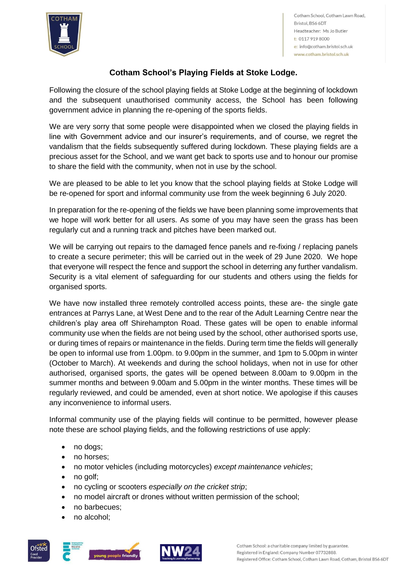

Cotham School, Cotham Lawn Road, Bristol, BS6 6DT Headteacher: Ms Jo Butler t: 0117 919 8000 e: info@cotham.bristol.sch.uk www.cotham.bristol.sch.uk

## **Cotham School's Playing Fields at Stoke Lodge.**

Following the closure of the school playing fields at Stoke Lodge at the beginning of lockdown and the subsequent unauthorised community access, the School has been following government advice in planning the re-opening of the sports fields.

We are very sorry that some people were disappointed when we closed the playing fields in line with Government advice and our insurer's requirements, and of course, we regret the vandalism that the fields subsequently suffered during lockdown. These playing fields are a precious asset for the School, and we want get back to sports use and to honour our promise to share the field with the community, when not in use by the school.

We are pleased to be able to let you know that the school playing fields at Stoke Lodge will be re-opened for sport and informal community use from the week beginning 6 July 2020.

In preparation for the re-opening of the fields we have been planning some improvements that we hope will work better for all users. As some of you may have seen the grass has been regularly cut and a running track and pitches have been marked out.

We will be carrying out repairs to the damaged fence panels and re-fixing / replacing panels to create a secure perimeter; this will be carried out in the week of 29 June 2020. We hope that everyone will respect the fence and support the school in deterring any further vandalism. Security is a vital element of safeguarding for our students and others using the fields for organised sports.

We have now installed three remotely controlled access points, these are- the single gate entrances at Parrys Lane, at West Dene and to the rear of the Adult Learning Centre near the children's play area off Shirehampton Road. These gates will be open to enable informal community use when the fields are not being used by the school, other authorised sports use, or during times of repairs or maintenance in the fields. During term time the fields will generally be open to informal use from 1.00pm. to 9.00pm in the summer, and 1pm to 5.00pm in winter (October to March). At weekends and during the school holidays, when not in use for other authorised, organised sports, the gates will be opened between 8.00am to 9.00pm in the summer months and between 9.00am and 5.00pm in the winter months. These times will be regularly reviewed, and could be amended, even at short notice. We apologise if this causes any inconvenience to informal users.

Informal community use of the playing fields will continue to be permitted, however please note these are school playing fields, and the following restrictions of use apply:

- no dogs;
- no horses;
- no motor vehicles (including motorcycles) *except maintenance vehicles*;
- no golf;
- no cycling or scooters *especially on the cricket strip*;
- no model aircraft or drones without written permission of the school;
- no barbecues;
- no alcohol;